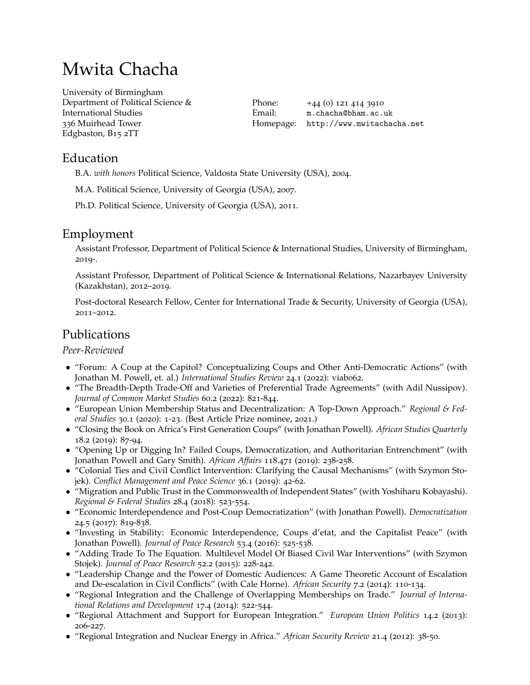# Mwita Chacha

University of [Birmingham](http://www.birmingham.ac.uk/) Department of Political Science & International Studies 336 Muirhead Tower Edgbaston, B15 2TT

Phone: +44 (0) 121 414 3910 Email: [m.chacha@bham.ac.uk](mailto:m.chacha@bham.ac.uk) Homepage: <http://www.mwitachacha.net>

### Education

B.A. *with honors* Political Science, Valdosta State University (USA), 2004.

M.A. Political Science, University of Georgia (USA), 2007.

Ph.D. Political Science, University of Georgia (USA), 2011.

### Employment

Assistant Professor, Department of Political Science & International Studies, University of Birmingham, 2019-.

Assistant Professor, Department of Political Science & International Relations, Nazarbayev University (Kazakhstan), 2012–2019.

Post-doctoral Research Fellow, Center for International Trade & Security, University of Georgia (USA), 2011–2012.

## Publications

*Peer-Reviewed*

- *•* "Forum: A Coup at the Capitol? Conceptualizing Coups and Other Anti-Democratic Actions" (with Jonathan M. Powell, et. al.) *International Studies Review* 24.1 (2022): viab062.
- "The Breadth-Depth Trade-Off and Varieties of Preferential Trade Agreements" (with Adil Nussipov). *Journal of Common Market Studies* 60.2 (2022): 821-844.
- *•* "European Union Membership Status and Decentralization: A Top-Down Approach." *Regional & Federal Studies* 30.1 (2020): 1-23. (Best Article Prize nominee, 2021.)
- *•* "Closing the Book on Africa's First Generation Coups" (with Jonathan Powell). *African Studies Quarterly* 18.2 (2019): 87-94.
- *•* "Opening Up or Digging In? Failed Coups, Democratization, and Authoritarian Entrenchment" (with Jonathan Powell and Gary Smith). *African Affairs* 118.471 (2019): 238-258.
- "Colonial Ties and Civil Conflict Intervention: Clarifying the Causal Mechanisms" (with Szymon Stojek). *Conflict Management and Peace Science* 36.1 (2019): 42-62.
- *•* "Migration and Public Trust in the Commonwealth of Independent States" (with Yoshiharu Kobayashi). *Regional & Federal Studies* 28.4 (2018): 523-554.
- *•* "Economic Interdependence and Post-Coup Democratization" (with Jonathan Powell). *Democratization* 24.5 (2017): 819-838.
- *•* "Investing in Stability: Economic Interdependence, Coups d'etat, and the Capitalist Peace" (with Jonathan Powell). *Journal of Peace Research* 53.4 (2016): 525-538.
- "Adding Trade To The Equation. Multilevel Model Of Biased Civil War Interventions" (with Szymon Stojek). *Journal of Peace Research* 52.2 (2015): 228-242.
- "Leadership Change and the Power of Domestic Audiences: A Game Theoretic Account of Escalation and De-escalation in Civil Conflicts" (with Cale Horne). *African Security* 7.2 (2014): 110-134.
- *•* "Regional Integration and the Challenge of Overlapping Memberships on Trade." *Journal of International Relations and Development* 17.4 (2014): 522-544.
- *•* "Regional Attachment and Support for European Integration." *European Union Politics* 14.2 (2013): 206-227.
- *•* "Regional Integration and Nuclear Energy in Africa." *African Security Review* 21.4 (2012): 38-50.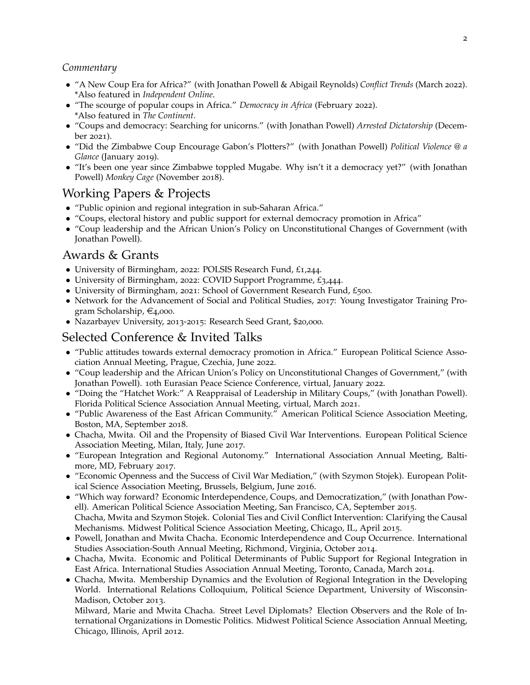#### *Commentary*

- *•* "A New Coup Era for Africa?" (with Jonathan Powell & Abigail Reynolds) *Conflict Trends* (March 2022). \*Also featured in *Independent Online*.
- *•* "The scourge of popular coups in Africa." *Democracy in Africa* (February 2022). \*Also featured in *The Continent*.
- *•* "Coups and democracy: Searching for unicorns." (with Jonathan Powell) *Arrested Dictatorship* (December 2021).
- *•* "Did the Zimbabwe Coup [Encourage](https://politicalviolenceataglance.org/2019/01/24/did-the-zimbabwe-coup-encourage-gabons-plotters/) Gabon's Plotters?" (with Jonathan Powell) *Political Violence @ a Glance* (January 2019).
- "It's been one year since Zimbabwe toppled Mugabe. Why isn't it a democracy yet?" (with Jonathan Powell) *Monkey Cage* [\(November](https://themonkeycage.org/2018/11/its-been-one-year-since-zimbabwe-toppled-mugabe-why-isnt-it-a-democracy-yet/) 2018).

#### Working Papers & Projects

- *•* "Public opinion and regional integration in sub-Saharan Africa."
- "Coups, electoral history and public support for external democracy promotion in Africa"
- "Coup leadership and the African Union's Policy on Unconstitutional Changes of Government (with Jonathan Powell).

#### Awards & Grants

- *•* University of Birmingham, 2022: POLSIS Research Fund, £1,244.
- *•* University of Birmingham, 2022: COVID Support Programme, £3,444.
- University of Birmingham, 2021: School of Government Research Fund, £500.
- Network for the Advancement of Social and Political Studies, 2017: Young Investigator Training Program Scholarship,  $\epsilon_{4,000}$ .
- *•* Nazarbayev University, 2013-2015: Research Seed Grant, \$20,000.

### Selected Conference & Invited Talks

- *•* "Public attitudes towards external democracy promotion in Africa." European Political Science Association Annual Meeting, Prague, Czechia, June 2022.
- "Coup leadership and the African Union's Policy on Unconstitutional Changes of Government," (with Jonathan Powell). 10th Eurasian Peace Science Conference, virtual, January 2022.
- "Doing the "Hatchet Work:" A Reappraisal of Leadership in Military Coups," (with Jonathan Powell). Florida Political Science Association Annual Meeting, virtual, March 2021.
- *•* "Public Awareness of the East African Community." American Political Science Association Meeting, Boston, MA, September 2018.
- Chacha, Mwita. Oil and the Propensity of Biased Civil War Interventions. European Political Science Association Meeting, Milan, Italy, June 2017.
- *•* "European Integration and Regional Autonomy." International Association Annual Meeting, Baltimore, MD, February 2017.
- *•* "Economic Openness and the Success of Civil War Mediation," (with Szymon Stojek). European Political Science Association Meeting, Brussels, Belgium, June 2016.
- *•* "Which way forward? Economic Interdependence, Coups, and Democratization," (with Jonathan Powell). American Political Science Association Meeting, San Francisco, CA, September 2015. Chacha, Mwita and Szymon Stojek. Colonial Ties and Civil Conflict Intervention: Clarifying the Causal
- Mechanisms. Midwest Political Science Association Meeting, Chicago, IL, April 2015. *•* Powell, Jonathan and Mwita Chacha. Economic Interdependence and Coup Occurrence. International Studies Association-South Annual Meeting, Richmond, Virginia, October 2014.
- *•* Chacha, Mwita. Economic and Political Determinants of Public Support for Regional Integration in East Africa. International Studies Association Annual Meeting, Toronto, Canada, March 2014.
- Chacha, Mwita. Membership Dynamics and the Evolution of Regional Integration in the Developing World. International Relations Colloquium, Political Science Department, University of Wisconsin-Madison, October 2013.

Milward, Marie and Mwita Chacha. Street Level Diplomats? Election Observers and the Role of International Organizations in Domestic Politics. Midwest Political Science Association Annual Meeting, Chicago, Illinois, April 2012.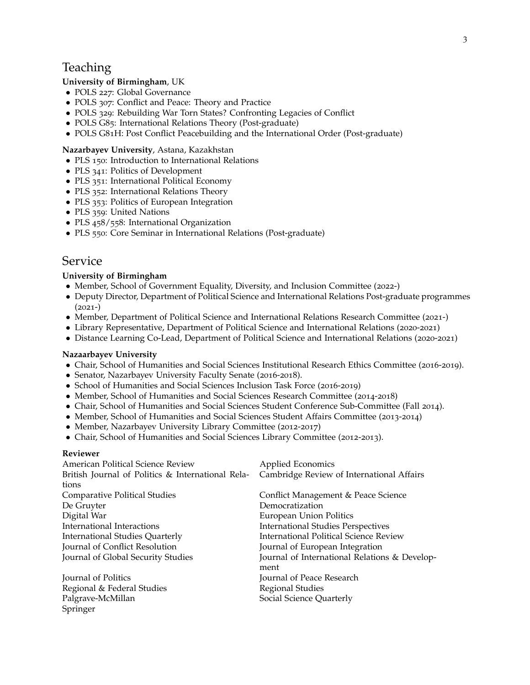### **Teaching**

#### **University of Birmingham**, UK

- *•* POLS 227: Global Governance
- *•* POLS 307: Conflict and Peace: Theory and Practice
- *•* POLS 329: Rebuilding War Torn States? Confronting Legacies of Conflict
- *•* POLS G85: International Relations Theory (Post-graduate)
- POLS G81H: Post Conflict Peacebuilding and the International Order (Post-graduate)

#### **Nazarbayev University**, Astana, Kazakhstan

- *•* PLS 150: Introduction to International Relations
- PLS 341: Politics of Development
- *•* PLS 351: International Political Economy
- PLS 352: International Relations Theory
- *•* PLS 353: Politics of European Integration
- PLS 359: United Nations
- *•* PLS 458/558: International Organization
- *•* PLS 550: Core Seminar in International Relations (Post-graduate)

#### Service

#### **University of Birmingham**

- Member, School of Government Equality, Diversity, and Inclusion Committee (2022-)
- Deputy Director, Department of Political Science and International Relations Post-graduate programmes  $(2021-)$
- Member, Department of Political Science and International Relations Research Committee (2021-)
- *•* Library Representative, Department of Political Science and International Relations (2020-2021)
- *•* Distance Learning Co-Lead, Department of Political Science and International Relations (2020-2021)

#### **Nazaarbayev University**

- Chair, School of Humanities and Social Sciences Institutional Research Ethics Committee (2016-2019).
- *•* Senator, Nazarbayev University Faculty Senate (2016-2018).
- *•* School of Humanities and Social Sciences Inclusion Task Force (2016-2019)
- Member, School of Humanities and Social Sciences Research Committee (2014-2018)
- Chair, School of Humanities and Social Sciences Student Conference Sub-Committee (Fall 2014).
- Member, School of Humanities and Social Sciences Student Affairs Committee (2013-2014)
- Member, Nazarbayev University Library Committee (2012-2017)
- *•* Chair, School of Humanities and Social Sciences Library Committee (2012-2013).

#### **Reviewer**

| American Political Science Review                 | Applied Economics                             |
|---------------------------------------------------|-----------------------------------------------|
| British Journal of Politics & International Rela- | Cambridge Review of International Affairs     |
| tions                                             |                                               |
| <b>Comparative Political Studies</b>              | Conflict Management & Peace Science           |
| De Gruyter                                        | Democratization                               |
| Digital War                                       | European Union Politics                       |
| International Interactions                        | <b>International Studies Perspectives</b>     |
| <b>International Studies Quarterly</b>            | <b>International Political Science Review</b> |
| Journal of Conflict Resolution                    | Journal of European Integration               |
| Journal of Global Security Studies                | Journal of International Relations & Develop- |
|                                                   | ment                                          |
| Journal of Politics                               | Journal of Peace Research                     |
| Regional & Federal Studies                        | Regional Studies                              |
| Palgrave-McMillan                                 | Social Science Quarterly                      |
| Springer                                          |                                               |